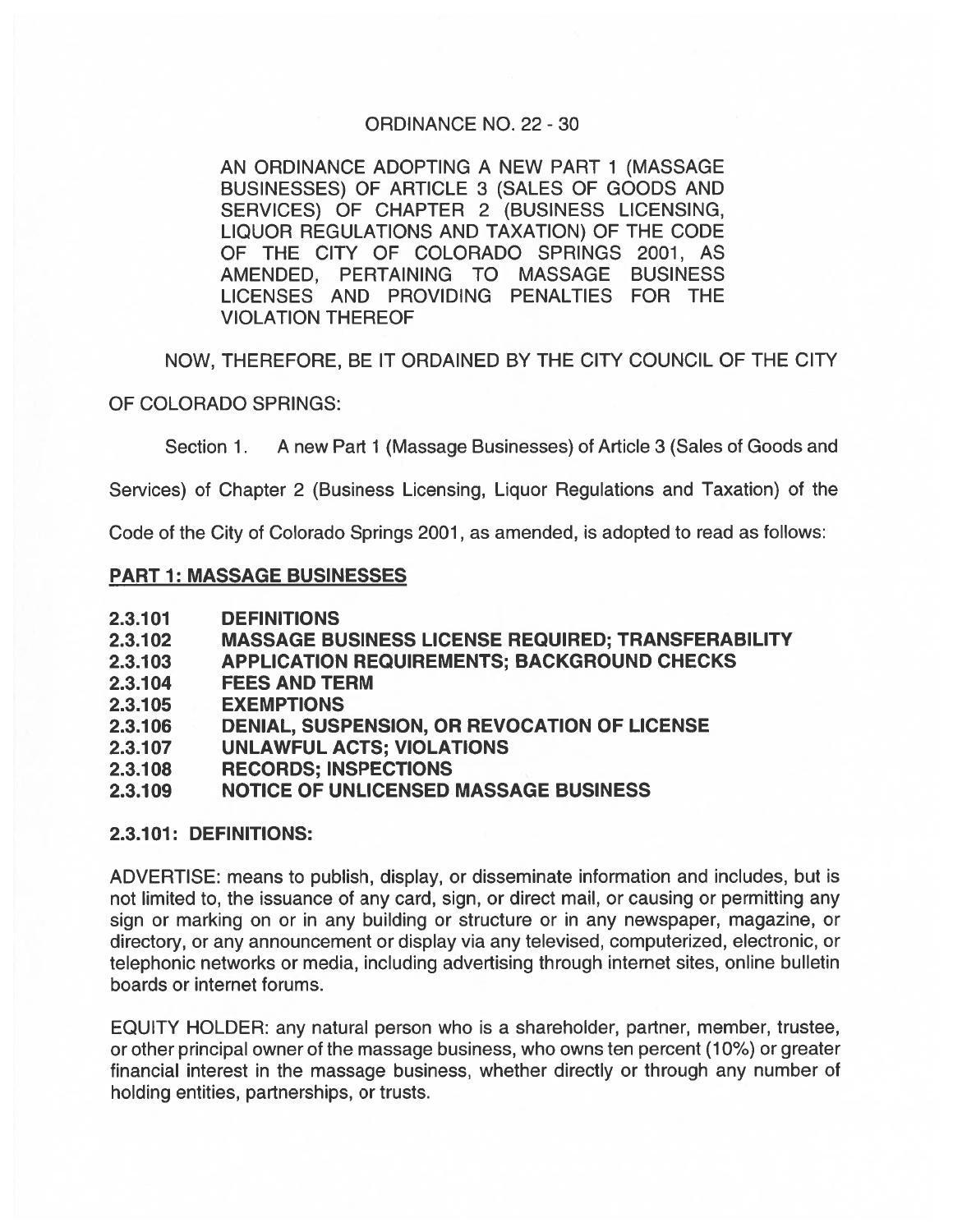## ORDINANCE NO. 22- 30

AN ORDINANCE ADOPTING A NEW PART 1 (MASSAGE BUSINESSES) OF ARTICLE 3 (SALES OF GOODS AND SERVICES) OF CHAPTER 2 (BUSINESS LICENSING, LIQUOR REGULATIONS AND TAXATION) OF THE CODE OF THE CITY OF COLORADO SPRINGS 2001, AS AMENDED, PERTAINING TO MASSAGE BUSINESS LICENSES AND PROVIDING PENALTIES FOR THE VIOLATION THEREOF

NOW, THEREFORE, BE IT ORDAINED BY THE CITY COUNCIL OF THE CITY

OF COLORADO SPRINGS:

Section 1. A new Part 1 (Massage Businesses) of Article 3 (Sales of Goods and

Services) of Chapter 2 (Business Licensing, Liquor Regulations and Taxation) of the

Code of the City of Colorado Springs 2001, as amended, is adopted to read as follows:

### PART 1: MASSAGE BUSINESSES

- 2.3.101 DEFINITIONS
- 2.3.102 MASSAGE BUSINESS LICENSE REQUIRED; TRANSFERABILITY
- 2.3.103 APPLICATION REQUIREMENTS; BACKGROUND CHECKS
- 2.3.104 FEES AND TERM
- 2.3.1 05 EXEMPTIONS
- 2.3.1 06 DENIAL, SUSPENSION, OR REVOCATION OF LICENSE
- 2.3.107 UNLAWFUL ACTS; VIOLATIONS
- 2.3.1 08 RECORDS; INSPECTIONS

# 2.3.1 09 NOTICE OF UNLICENSED MASSAGE BUSINESS

#### 2.3.101: DEFINITIONS:

ADVERTISE: means to publish, display, or disseminate information and includes, but is not limited to, the issuance of any card, sign, or direct mail, or causing or permitting any sign or marking on or in any building or structure or in any newspaper, magazine, or directory, or any announcement or display via any televised, computerized, electronic, or telephonic networks or media, including advertising through internet sites, online bulletin boards or internet forums.

EQUITY HOLDER: any natural person who is <sup>a</sup> shareholder, partner, member, trustee, or other principal owner of the massage business, who owns ten percen<sup>t</sup> (10%) or greater financial interest in the massage business, whether directly or through any number of holding entities, partnerships, or trusts.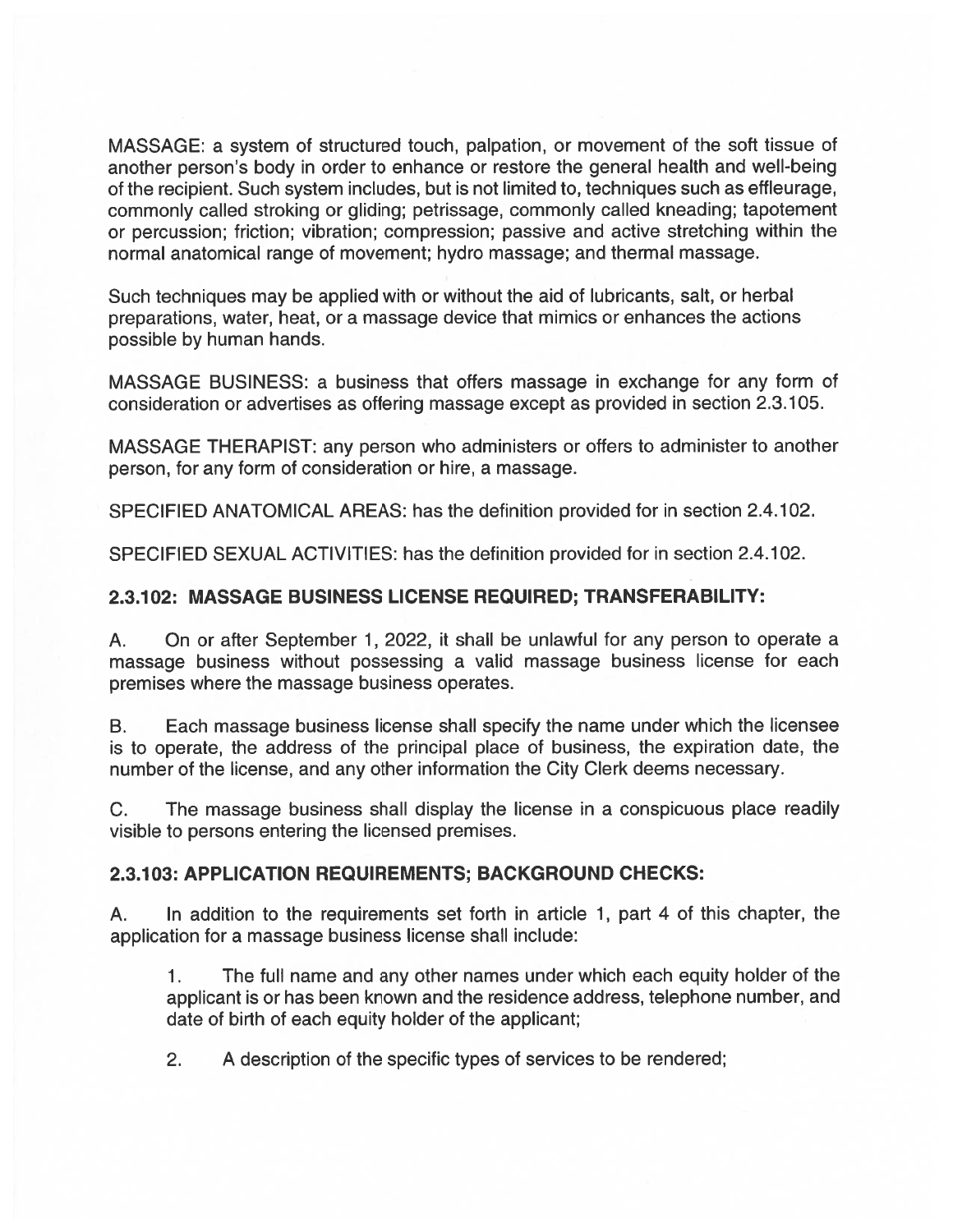MASSAGE: <sup>a</sup> system of structured touch, palpation, or movement of the soft tissue of another person's body in order to enhance or restore the general health and well-being of the recipient. Such system includes, but is not limited to, techniques such as effleurage, commonly called stroking or gliding; petrissage, commonly called kneading; tapotement or percussion; friction; vibration; compression; passive and active stretching within the normal anatomical range of movement; hydro massage; and thermal massage.

Such techniques may be applied with or without the aid of lubricants, salt, or herbal preparations, water, heat, or <sup>a</sup> massage device that mimics or enhances the actions possible by human hands.

MASSAGE BUSINESS: <sup>a</sup> business that offers massage in exchange for any form of consideration or advertises as offering massage excep<sup>t</sup> as provided in section 2.3.105.

MASSAGE THERAPIST: any person who administers or offers to administer to another person, for any form of consideration or hire, <sup>a</sup> massage.

SPECIFIED ANATOMICAL AREAS: has the definition provided for in section 2.4.102.

SPECIFIED SEXUAL ACTIVITIES: has the definition provided for in section 2.4.102.

# 2.3.102: MASSAGE BUSINESS LICENSE REQUIRED; TRANSFERABILITY:

A. On or after September 1, 2022, it shall be unlawful for any person to operate <sup>a</sup> massage business without possessing <sup>a</sup> valid massage business license for each premises where the massage business operates.

B. Each massage business license shall specify the name under which the licensee is to operate, the address of the principal place of business, the expiration date, the number of the license, and any other information the City Clerk deems necessary.

C. The massage business shall display the license in <sup>a</sup> conspicuous place readily visible to persons entering the licensed premises.

#### 2.3.103: APPLICATION REQUIREMENTS; BACKGROUND CHECKS:

A. In addition to the requirements set forth in article 1, par<sup>t</sup> 4 of this chapter, the application for <sup>a</sup> massage business license shall include:

1. The full name and any other names under which each equity holder of the applicant is or has been known and the residence address, telephone number, and date of birth of each equity holder of the applicant;

2. A description of the specific types of services to be rendered;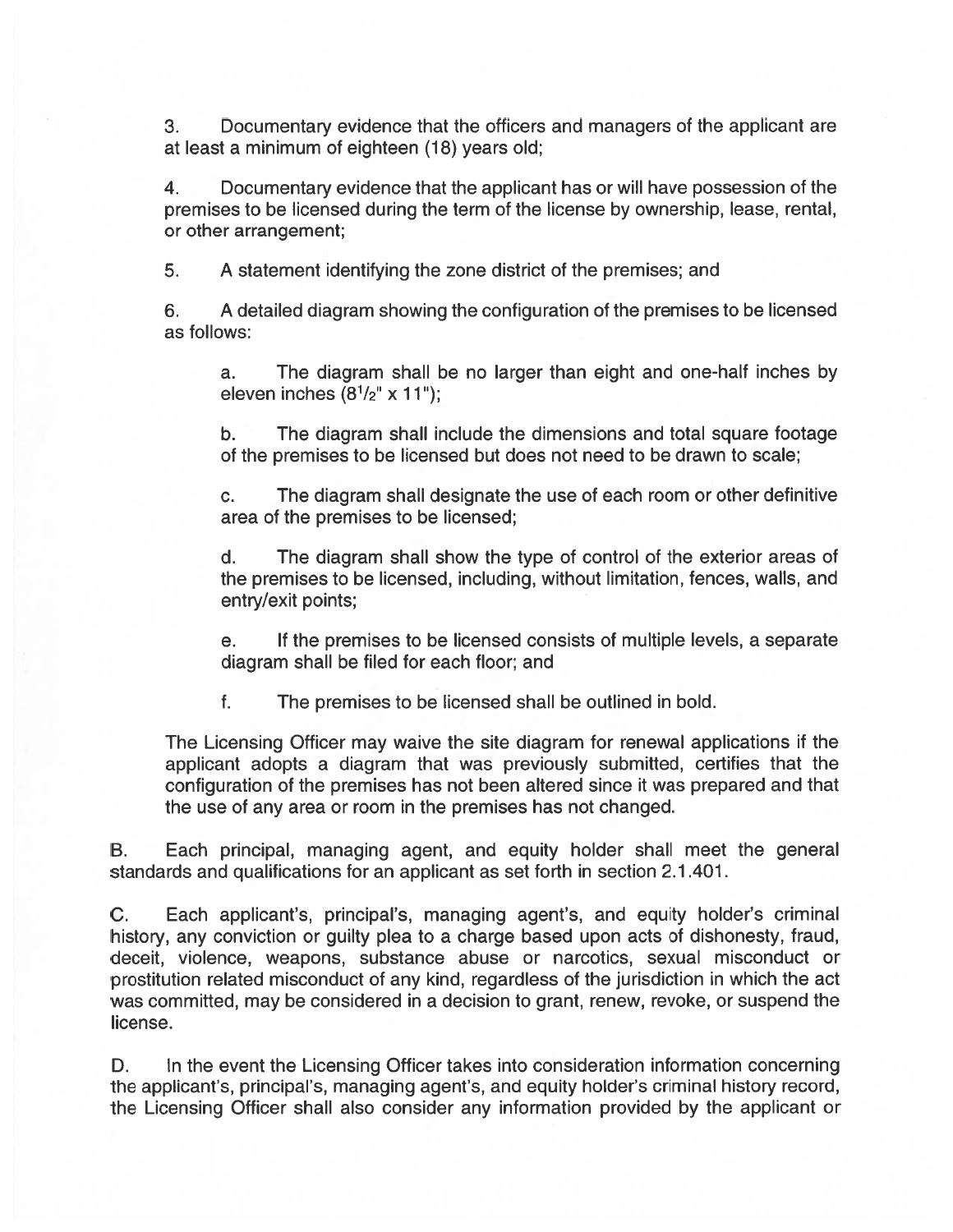3. Documentary evidence that the officers and managers of the applicant are at least <sup>a</sup> minimum of eighteen (18) years old;

4. Documentary evidence that the applicant has or will have possession of the premises to be licensed during the term of the license by ownership, lease, rental, or other arrangement;

5. A statement identifying the zone district of the premises; and

6. A detailed diagram showing the configuration of the premises to be licensed as follows:

a. The diagram shall be no larger than eight and one-half inches by eleven inches  $(8<sup>1</sup>/2<sup>''</sup> \times 11<sup>''</sup>)$ ;

b. The diagram shall include the dimensions and total square footage of the premises to be licensed but does not need to be drawn to scale;

c. The diagram shall designate the use of each room or other definitive area of the premises to be licensed;

d. The diagram shall show the type of control of the exterior areas of the premises to be licensed, including, without limitation, fences, walls, and entry/exit points;

e. If the premises to be licensed consists of multiple levels, <sup>a</sup> separate diagram shall be filed for each floor; and

f. The premises to be licensed shall be outlined in bold.

The Licensing Officer may waive the site diagram for renewal applications if the applicant adopts <sup>a</sup> diagram that was previously submitted, certifies that the configuration of the premises has not been altered since it was prepared and that the use of any area or room in the premises has not changed.

B. Each principal, managing agent, and equity holder shall meet the general standards and qualifications for an applicant as set forth in section 2.1 .401.

C. Each applicant's, principal's, managing agent's, and equity holder's criminal history, any conviction or guilty plea to <sup>a</sup> charge based upon acts of dishonesty, fraud, deceit, violence, weapons, substance abuse or narcotics, sexual misconduct or prostitution related misconduct of any kind, regardless of the jurisdiction in which the act was committed, may be considered in <sup>a</sup> decision to grant, renew, revoke, or suspend the license.

D. In the event the Licensing Officer takes into consideration information concerning the applicant's, principal's, managing agent's, and equity holder's criminal history record, the Licensing Officer shall also consider any information provided by the applicant or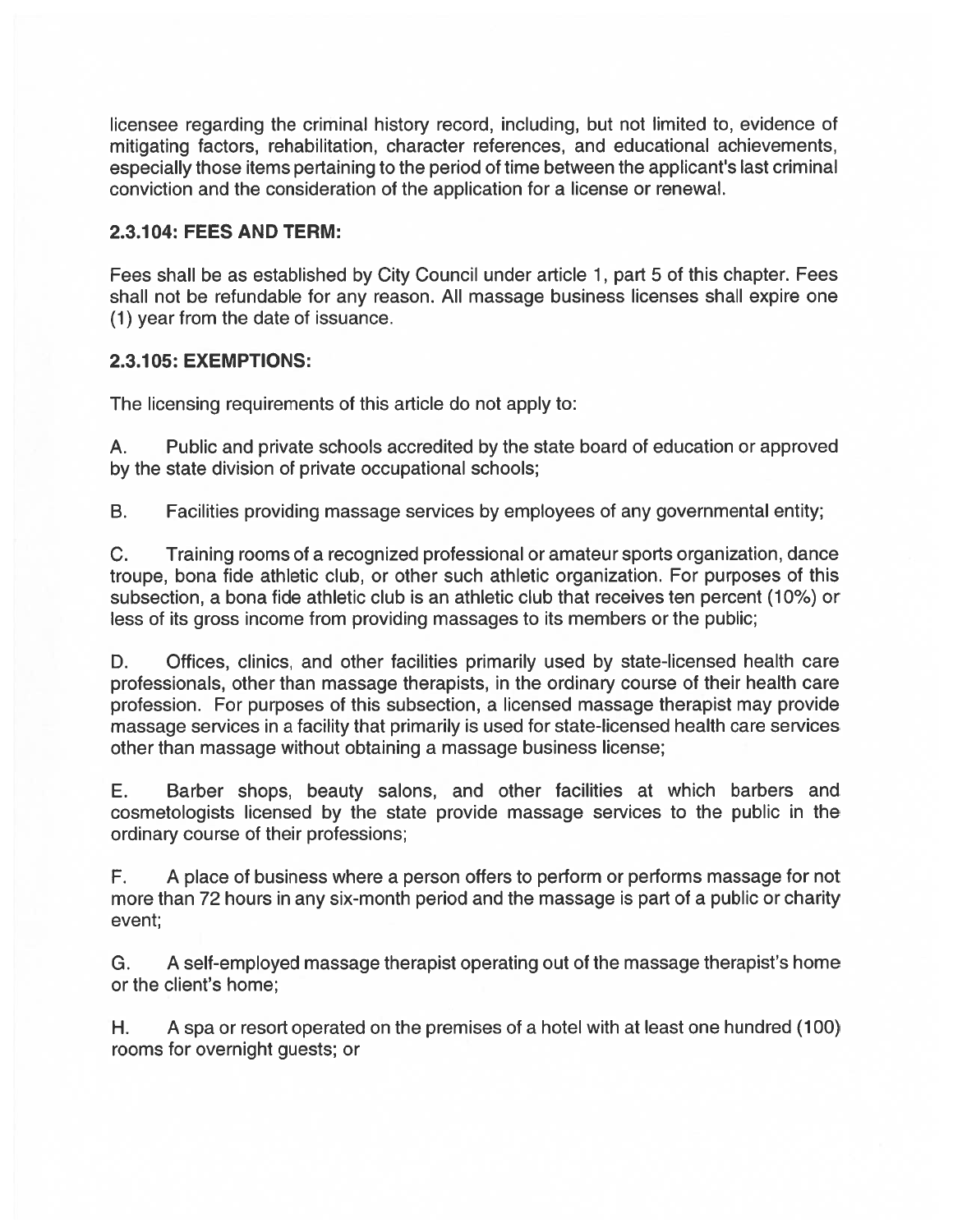licensee regarding the criminal history record, including, but not limited to, evidence of mitigating factors, rehabilitation, character references, and educational achievements, especially those items pertaining to the period of time between the applicant's last criminal conviction and the consideration of the application for <sup>a</sup> license or renewal.

## 2.3.1 04: FEES AND TERM:

Fees shall be as established by City Council under article 1, par<sup>t</sup> 5 of this chapter. Fees shall not be refundable for any reason. All massage business licenses shall expire one (1) year from the date of issuance.

### 2.3.1 05: EXEMPTIONS:

The licensing requirements of this article do not apply to:

A. Public and private schools accredited by the state board of education or approved by the state division of private occupational schools;

B. Facilities providing massage services by employees of any governmental entity;

C. Training rooms of <sup>a</sup> recognized professional or amateur sports organization, dance troupe, bona tide athletic club, or other such athletic organization. For purposes of this subsection, <sup>a</sup> bona tide athletic club is an athletic club that receives ten percen<sup>t</sup> (10%) or less of its gross income from providing massages to its members or the public;

D. Offices, clinics, and other facilities primarily used by state-licensed health care professionals, other than massage therapists, in the ordinary course of their health care profession. For purposes of this subsection, <sup>a</sup> licensed massage therapist may provide massage services in <sup>a</sup> facility that primarily is used for state-licensed health care services other than massage without obtaining <sup>a</sup> massage business license;

E. Barber shops, beauty salons, and other facilities at which barbers and cosmetologists licensed by the state provide massage services to the public in the ordinary course of their professions;

F. A place of business where <sup>a</sup> person offers to perform or performs massage for not more than 72 hours in any six-month period and the massage is par<sup>t</sup> of <sup>a</sup> public or charity event;

G. A self-employed massage therapist operating out of the massage therapist's home or the client's home;

H. A spa or resort operated on the premises of <sup>a</sup> hotel with at least one hundred (100) rooms for overnight guests; or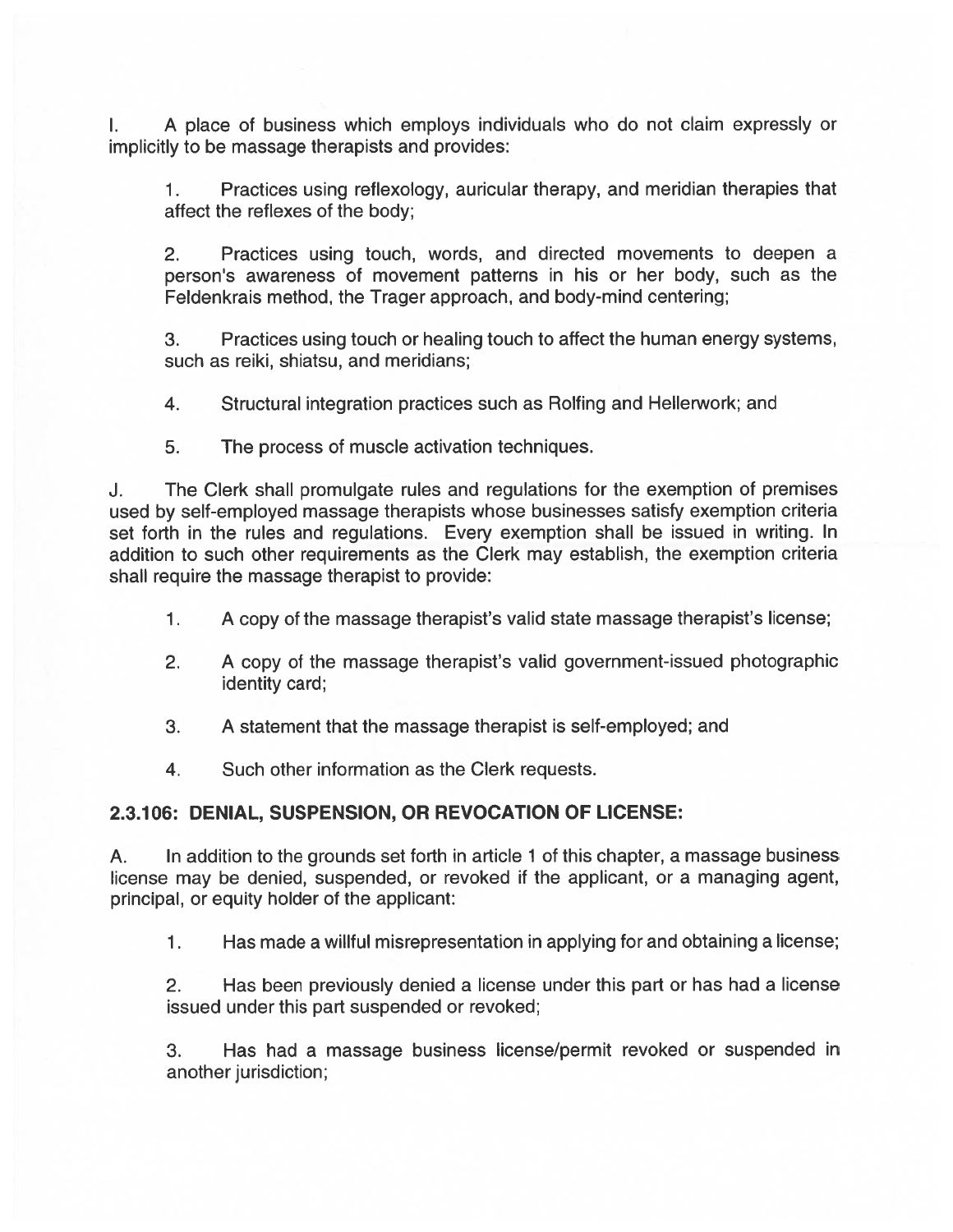A place of business which employs individuals who do not claim expressly or L. implicitly to be massage therapists and provides:

1. Practices using reflexology, auricular therapy, and meridian therapies that affect the reflexes of the body;

2. Practices using touch, words, and directed movements to deepen <sup>a</sup> person's awareness of movement patterns in his or her body, such as the Feldenkrais method, the Trager approach, and body-mind centering;

3. Practices using touch or healing touch to affect the human energy systems, such as reiki, shiatsu, and meridians;

4. Structural integration practices such as Rolfing and Hellerwork; and

5. The process of muscle activation techniques.

J. The Clerk shall promulgate rules and regulations for the exemption of premises used by self-employed massage therapists whose businesses satisfy exemption criteria set forth in the rules and regulations. Every exemption shall be issued in writing. In addition to such other requirements as the Clerk may establish, the exemption criteria shall require the massage therapist to provide:

- 1. <sup>A</sup> copy of the massage therapist's valid state massage therapist's license;
- 2. <sup>A</sup> copy of the massage therapist's valid government-issued <sup>p</sup>hotographic identity card;
- 3. A statement that the massage therapist is self-employed; and
- 4. Such other information as the Clerk requests.

# 2.3.106: DENIAL, SUSPENSION, OR REVOCATION OF LICENSE:

A. In addition to the grounds set forth in article 1 of this chapter, <sup>a</sup> massage business license may be denied, suspended, or revoked if the applicant, or <sup>a</sup> managing agent, principal, or equity holder of the applicant:

1. Has made <sup>a</sup> willful misrepresentation in applying for and obtaining <sup>a</sup> license;

2. Has been previously denied <sup>a</sup> license under this par<sup>t</sup> or has had <sup>a</sup> license issued under this par<sup>t</sup> suspended or revoked;

3. Has had <sup>a</sup> massage business license/permit revoked or suspended in another jurisdiction;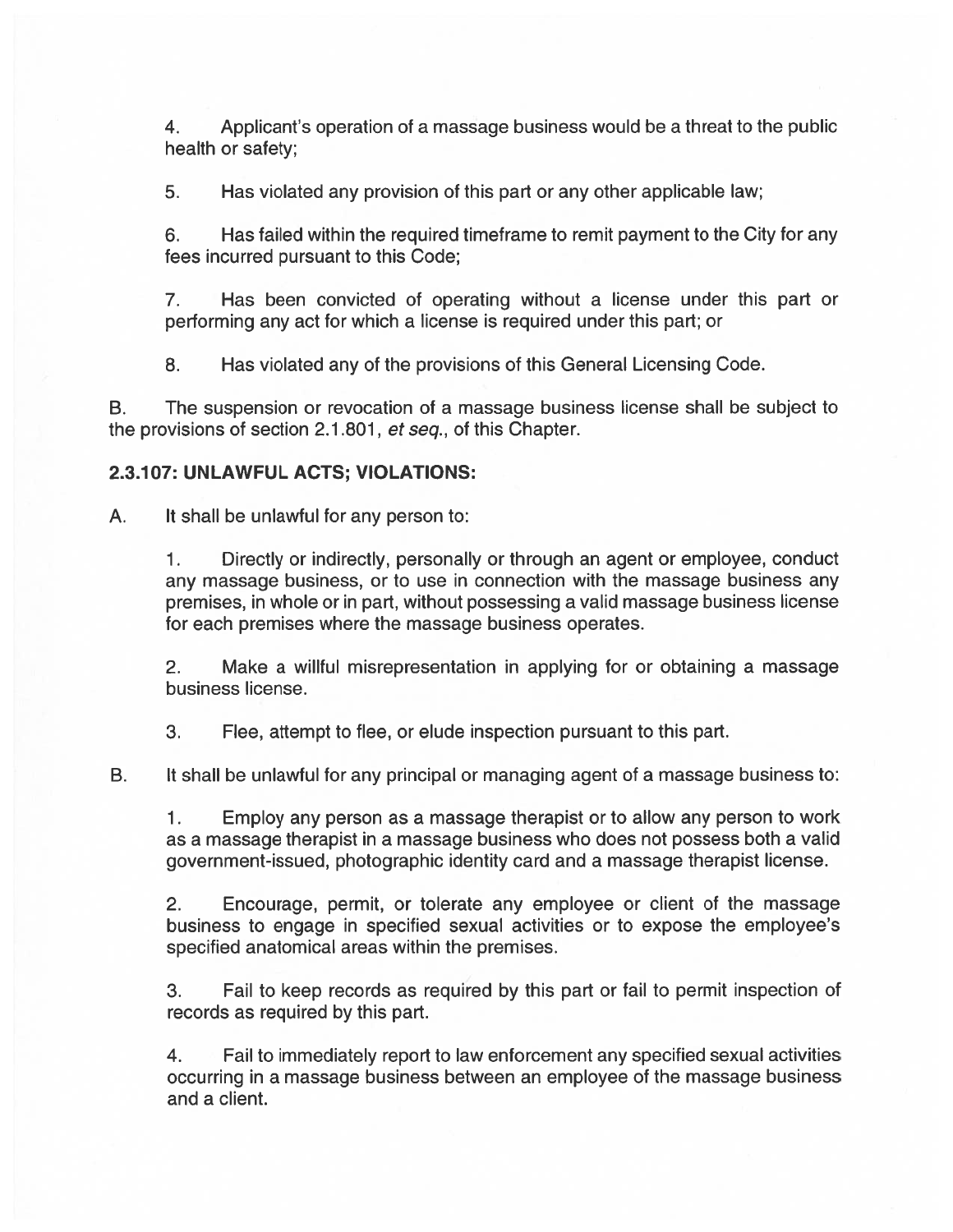4. Applicant's operation of <sup>a</sup> massage business would be <sup>a</sup> threat to the public health or safety;

5. Has violated any provision of this par<sup>t</sup> or any other applicable law;

6. Has failed within the required timeframe to remit paymen<sup>t</sup> to the City for any fees incurred pursuan<sup>t</sup> to this Code;

7. Has been convicted of operating without <sup>a</sup> license under this par<sup>t</sup> or performing any act for which <sup>a</sup> license is required under this part; or

8. Has violated any of the provisions of this General Licensing Code.

B. The suspension or revocation of <sup>a</sup> massage business license shall be subject to the provisions of section 2.1.801, et seq., of this Chapter.

#### 2.3.107: UNLAWFUL ACTS; VIOLATIONS:

A. It shall be unlawful for any person to:

1. Directly or indirectly, personally or through an agen<sup>t</sup> or employee, conduct any massage business, or to use in connection with the massage business any premises, in whole or in part, without possessing <sup>a</sup> valid massage business license for each premises where the massage business operates.

2. Make <sup>a</sup> willful misrepresentation in applying for or obtaining <sup>a</sup> massage business license.

3. Flee, attempt to flee, or elude inspection pursuan<sup>t</sup> to this part.

B. It shall be unlawful for any principal or managing agen<sup>t</sup> of <sup>a</sup> massage business to:

1. Employ any person as <sup>a</sup> massage therapist or to allow any person to work as <sup>a</sup> massage therapist in <sup>a</sup> massage business who does not possess both <sup>a</sup> valid government-issued, photographic identity card and <sup>a</sup> massage therapist license.

2. Encourage, permit, or tolerate any employee or client of the massage business to engage in specified sexual activities or to expose the employee's specified anatomical areas within the premises.

3. Fail to keep records as required by this par<sup>t</sup> or fail to permit inspection of records as required by this part.

4. Fail to immediately repor<sup>t</sup> to law enforcement any specified sexual activities occurring in <sup>a</sup> massage business between an employee of the massage business and <sup>a</sup> client.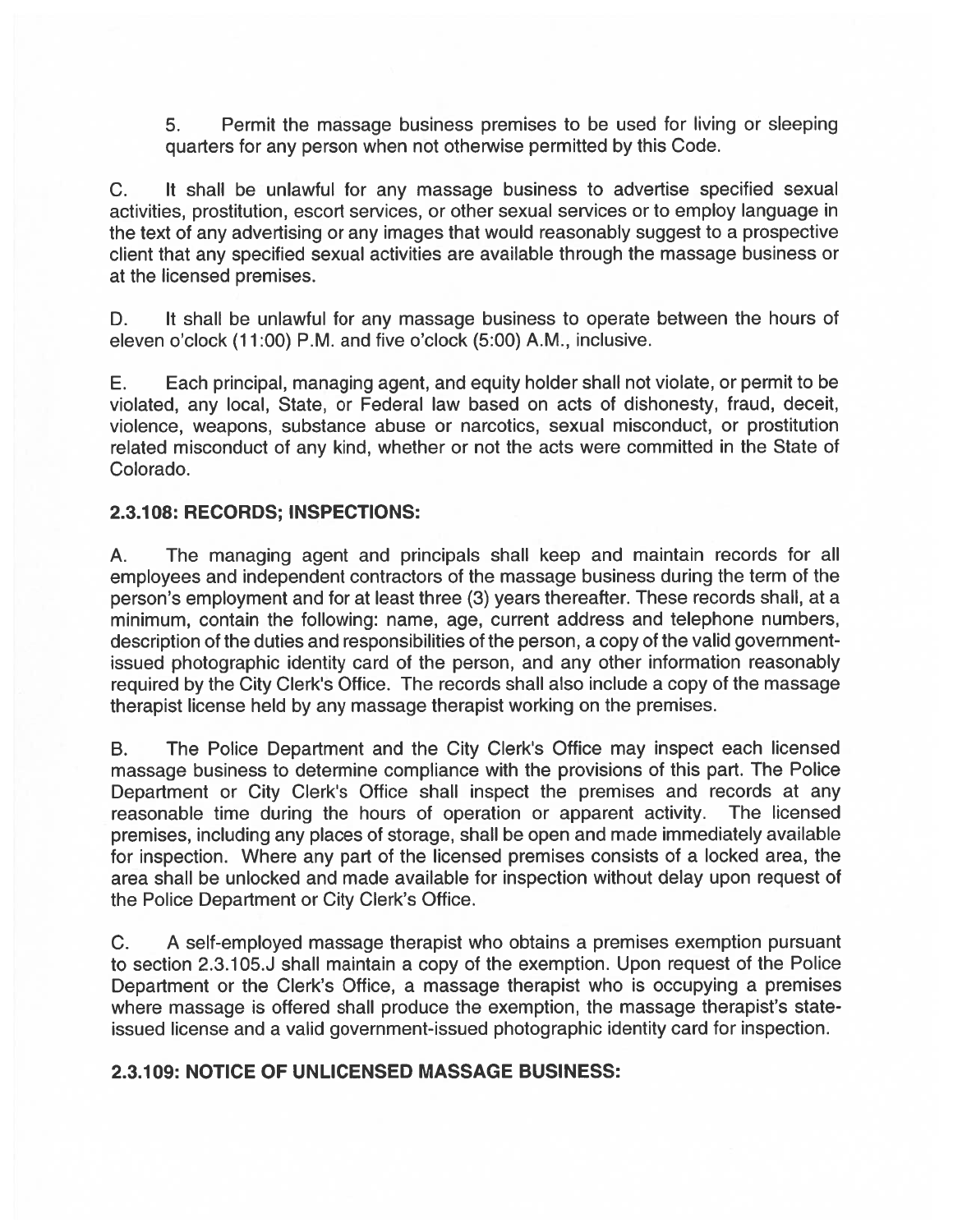5. Permit the massage business premises to be used for living or sleeping quarters for any person when not otherwise permitted by this Code.

C. It shall be unlawful for any massage business to advertise specified sexual activities, prostitution, escort services, or other sexual services or to employ language in the text of any advertising or any images that would reasonably sugges<sup>t</sup> to <sup>a</sup> prospective client that any specified sexual activities are available through the massage business or at the licensed premises.

D. It shall be unlawful for any massage business to operate between the hours of eleven <sup>o</sup>'clock (11:00) P.M. and five <sup>o</sup>'clock (5:00) A.M., inclusive.

E. Each principal, managing agent, and equity holder shall not violate, or permit to be violated, any local, State, or Federal law based on acts of dishonesty, fraud, deceit, violence, weapons, substance abuse or narcotics, sexual misconduct, or prostitution related misconduct of any kind, whether or not the acts were committed in the State of Colorado.

### 2.3.1 08: RECORDS; INSPECTIONS:

A. The managing agen<sup>t</sup> and principals shall keep and maintain records for all employees and independent contractors of the massage business during the term of the person's employment and for at least three (3) years thereafter. These records shall, at <sup>a</sup> minimum, contain the following: name, age, current address and telephone numbers, description of the duties and responsibilities of the person, <sup>a</sup> copy of the valid governmentissued photographic identity card of the person, and any other information reasonably required by the City Clerk's Office. The records shall also include <sup>a</sup> copy of the massage therapist license held by any massage therapist working on the premises.

B. The Police Department and the City Clerk's Office may inspect each licensed massage business to determine compliance with the provisions of this part. The Police Department or City Clerk's Office shall inspect the premises and records at any reasonable time during the hours of operation or apparen<sup>t</sup> activity. The licensed premises, including any places of storage, shall be open and made immediately available for inspection. Where any par<sup>t</sup> of the licensed premises consists of <sup>a</sup> locked area, the area shall be unlocked and made available for inspection without delay upon reques<sup>t</sup> of the Police Department or City Clerk's Office.

C. A self-employed massage therapist who obtains <sup>a</sup> premises exemption pursuan<sup>t</sup> to section 2.3.105.J shall maintain <sup>a</sup> copy of the exemption. Upon reques<sup>t</sup> of the Police Department or the Clerk's Office, <sup>a</sup> massage therapist who is occupying <sup>a</sup> premises where massage is offered shall produce the exemption, the massage therapist's stateissued license and <sup>a</sup> valid government-issued photographic identity card for inspection.

# 2.3.109: NOTICE OF UNLICENSED MASSAGE BUSINESS: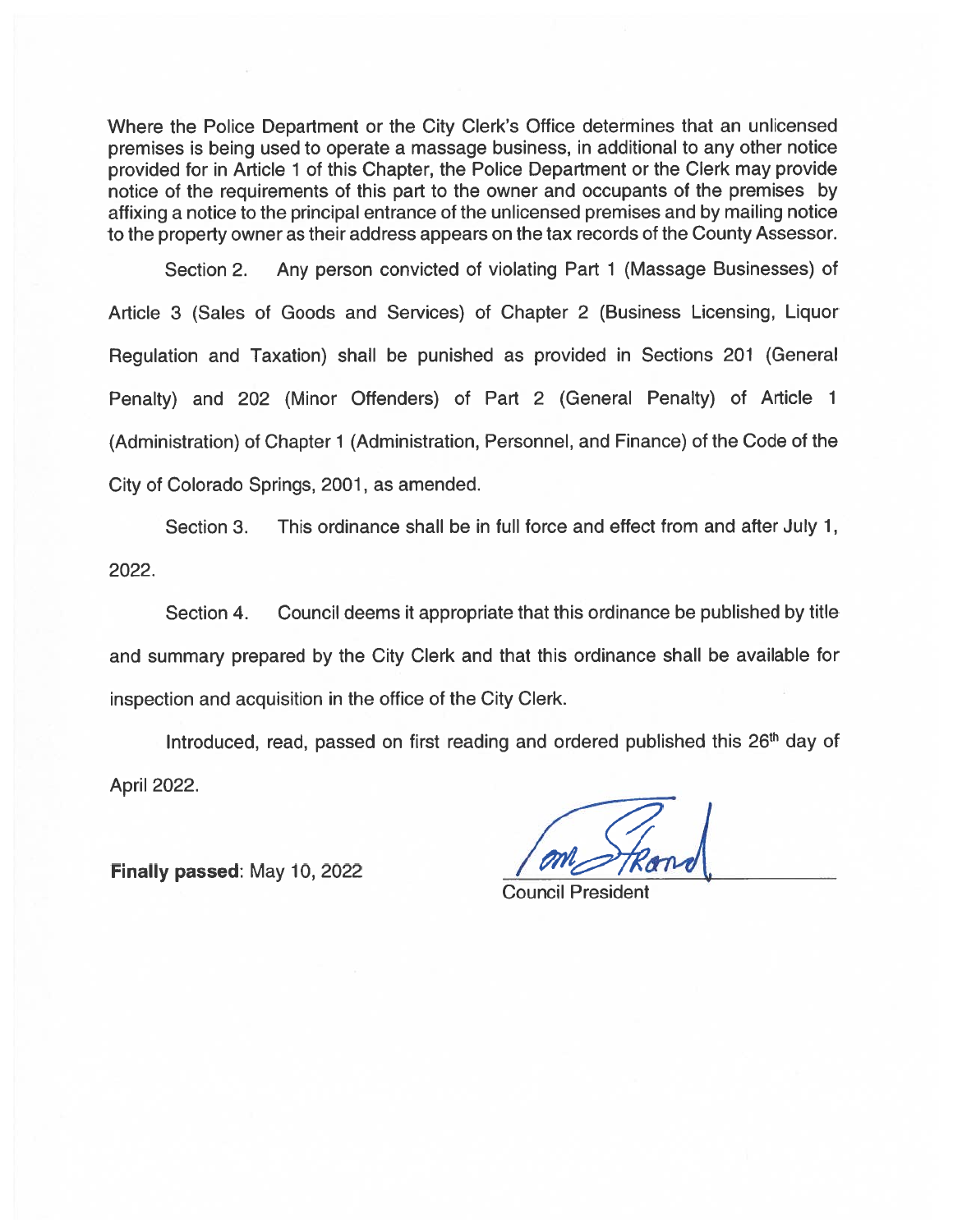Where the Police Department or the City Clerk's Office determines that an unlicensed premises is being used to operate <sup>a</sup> massage business, in additional to any other notice provided for in Article 1 of this Chapter, the Police Department or the Clerk may provide notice of the requirements of this par<sup>t</sup> to the owner and occupants of the premises by affixing <sup>a</sup> notice to the principal entrance of the unlicensed premises and by mailing notice to the property owner as their address appears on the tax records of the County Assessor.

Section 2. Any person convicted of violating Part 1 (Massage Businesses) of Article 3 (Sales of Goods and Services) of Chapter 2 (Business Licensing, Liquor Regulation and Taxation) shall be punished as provided in Sections 201 (General Penalty) and 202 (Minor Offenders) of Part 2 (General Penalty) of Article 1 (Administration) of Chapter 1 (Administration, Personnel, and Finance) of the Code of the City of Colorado Springs, 2001, as amended. Where the Police Department or the City Clerk's Office determines that an unicensemieses is being used to operate a massage business, in additional to any other notices of the in Antice 1 of this Chapter, the Picelet ebgen

Section 3. This ordinance shall be in full force and effect from and after July 1, 2022.

Section 4. Council deems it appropriate that this ordinance be published by title and summary prepared by the City Clerk and that this ordinance shall be available for inspection and acquisition in the office of the City Clerk.

Introduced, read, passed on first reading and ordered published this 26<sup>th</sup> day of April 2022.

Council President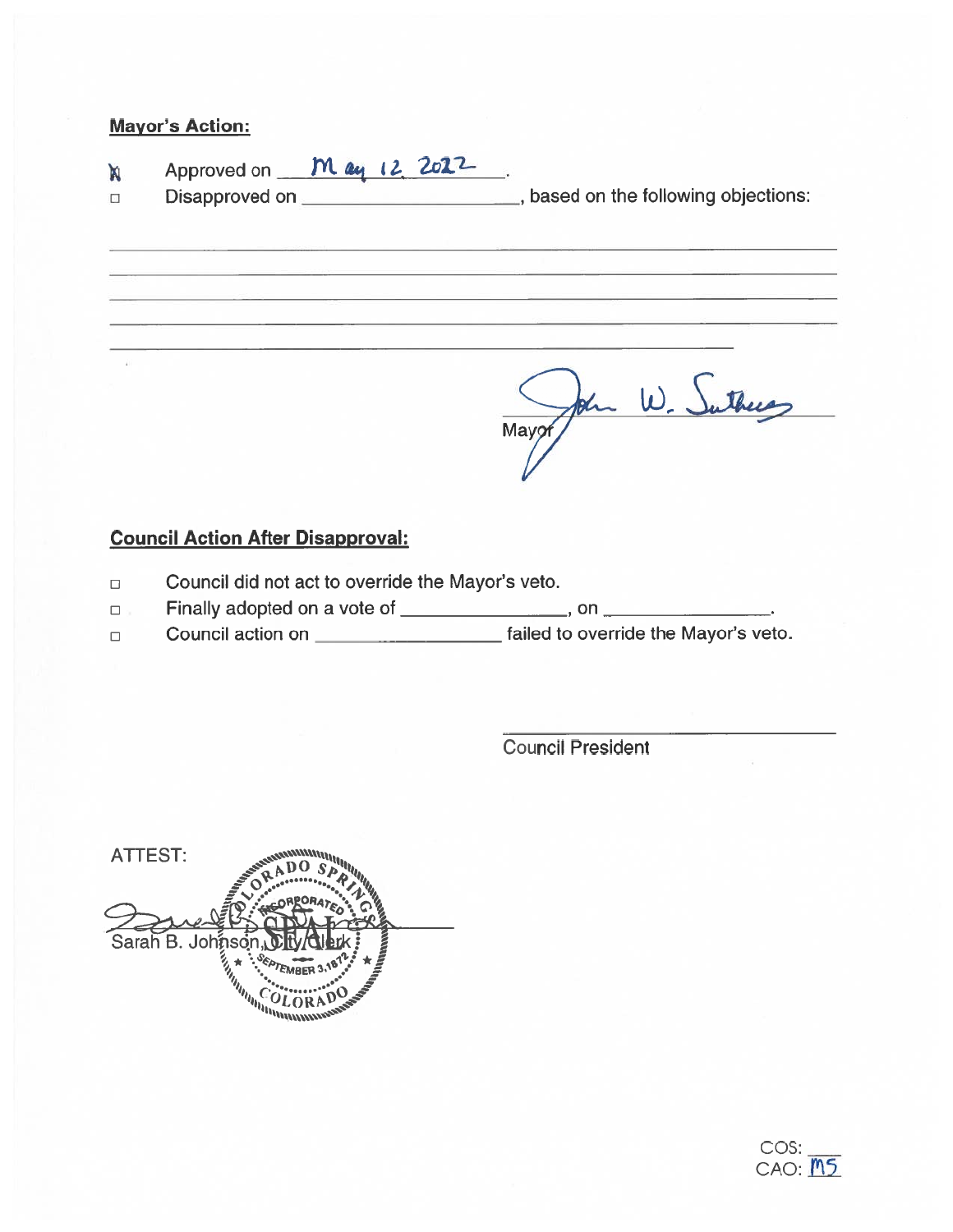# Mayor's Action:

 $\Delta$ 

- Approved on *May* 12, 2022 'n
- 

□ Disapproved on \_\_\_\_\_\_\_\_\_\_\_\_\_\_\_\_\_\_\_\_\_\_\_\_\_, based on the following objections

Mayor/ John W. Suthers

# Council Action After Disapproval:

- $\Box$  Council did not act to override the Mayor's veto.
- □ Finally adopted on a vote of \_\_\_\_\_\_\_\_\_\_\_\_\_\_\_\_\_, on
- □ Council action on <u>contact and failed to override the Mayor's veto</u>.

Council President

ATTEST:Sarah B. Johnson, https://www.astrongel.org/